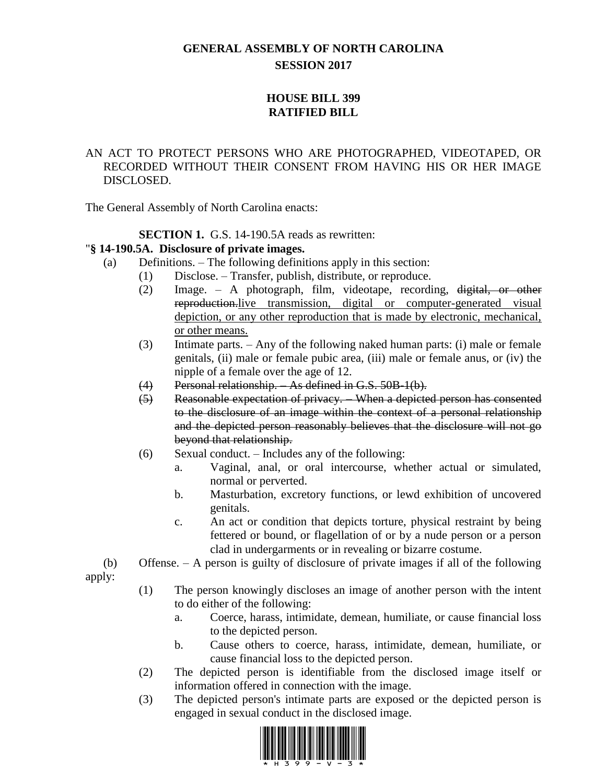# **GENERAL ASSEMBLY OF NORTH CAROLINA SESSION 2017**

## **HOUSE BILL 399 RATIFIED BILL**

### AN ACT TO PROTECT PERSONS WHO ARE PHOTOGRAPHED, VIDEOTAPED, OR RECORDED WITHOUT THEIR CONSENT FROM HAVING HIS OR HER IMAGE DISCLOSED.

The General Assembly of North Carolina enacts:

### **SECTION 1.** G.S. 14-190.5A reads as rewritten:

#### "**§ 14-190.5A. Disclosure of private images.**

- (a) Definitions. The following definitions apply in this section:
	- (1) Disclose. Transfer, publish, distribute, or reproduce.
	- (2) Image. A photograph, film, videotape, recording, digital, or other reproduction.live transmission, digital or computer-generated visual depiction, or any other reproduction that is made by electronic, mechanical, or other means.
	- (3) Intimate parts. Any of the following naked human parts: (i) male or female genitals, (ii) male or female pubic area, (iii) male or female anus, or (iv) the nipple of a female over the age of 12.
	- (4) Personal relationship. As defined in G.S. 50B-1(b).
	- (5) Reasonable expectation of privacy. When a depicted person has consented to the disclosure of an image within the context of a personal relationship and the depicted person reasonably believes that the disclosure will not go beyond that relationship.
	- (6) Sexual conduct. Includes any of the following:
		- a. Vaginal, anal, or oral intercourse, whether actual or simulated, normal or perverted.
		- b. Masturbation, excretory functions, or lewd exhibition of uncovered genitals.
		- c. An act or condition that depicts torture, physical restraint by being fettered or bound, or flagellation of or by a nude person or a person clad in undergarments or in revealing or bizarre costume.

(b) Offense. – A person is guilty of disclosure of private images if all of the following

apply:

- (1) The person knowingly discloses an image of another person with the intent to do either of the following:
	- a. Coerce, harass, intimidate, demean, humiliate, or cause financial loss to the depicted person.
	- b. Cause others to coerce, harass, intimidate, demean, humiliate, or cause financial loss to the depicted person.
- (2) The depicted person is identifiable from the disclosed image itself or information offered in connection with the image.
- (3) The depicted person's intimate parts are exposed or the depicted person is engaged in sexual conduct in the disclosed image.